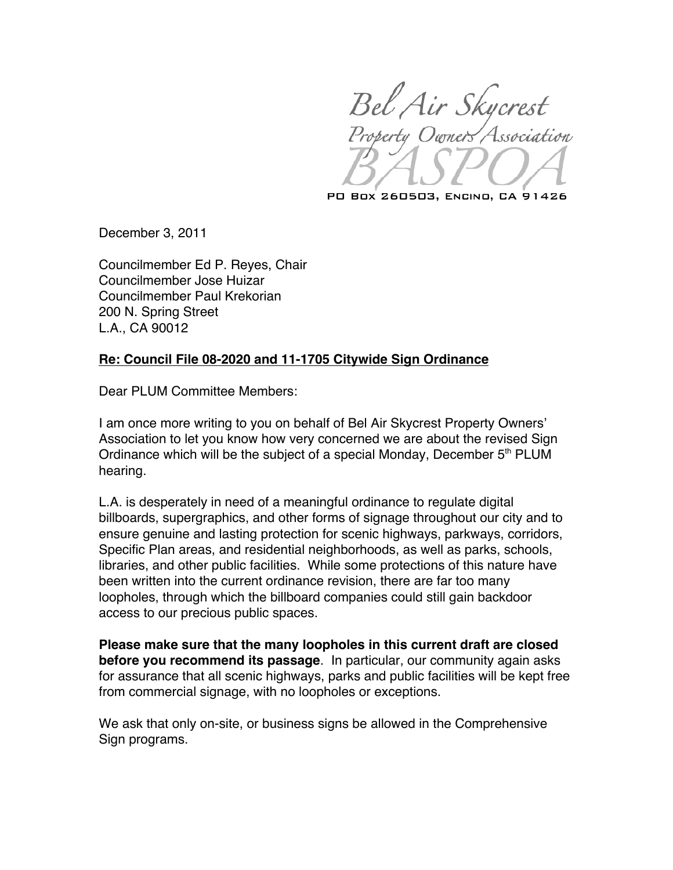Bel Air Skycrest<br>Property Owners Association

PO BOX 260503, ENCINO, CA 91426

December 3, 2011

Councilmember Ed P. Reyes, Chair Councilmember Jose Huizar Councilmember Paul Krekorian 200 N. Spring Street L.A., CA 90012

## **Re: Council File 08-2020 and 11-1705 Citywide Sign Ordinance**

Dear PLUM Committee Members:

I am once more writing to you on behalf of Bel Air Skycrest Property Owners' Association to let you know how very concerned we are about the revised Sign Ordinance which will be the subject of a special Monday, December  $5<sup>th</sup>$  PLUM hearing.

L.A. is desperately in need of a meaningful ordinance to regulate digital billboards, supergraphics, and other forms of signage throughout our city and to ensure genuine and lasting protection for scenic highways, parkways, corridors, Specific Plan areas, and residential neighborhoods, as well as parks, schools, libraries, and other public facilities. While some protections of this nature have been written into the current ordinance revision, there are far too many loopholes, through which the billboard companies could still gain backdoor access to our precious public spaces.

**Please make sure that the many loopholes in this current draft are closed before you recommend its passage**. In particular, our community again asks for assurance that all scenic highways, parks and public facilities will be kept free from commercial signage, with no loopholes or exceptions.

We ask that only on-site, or business signs be allowed in the Comprehensive Sign programs.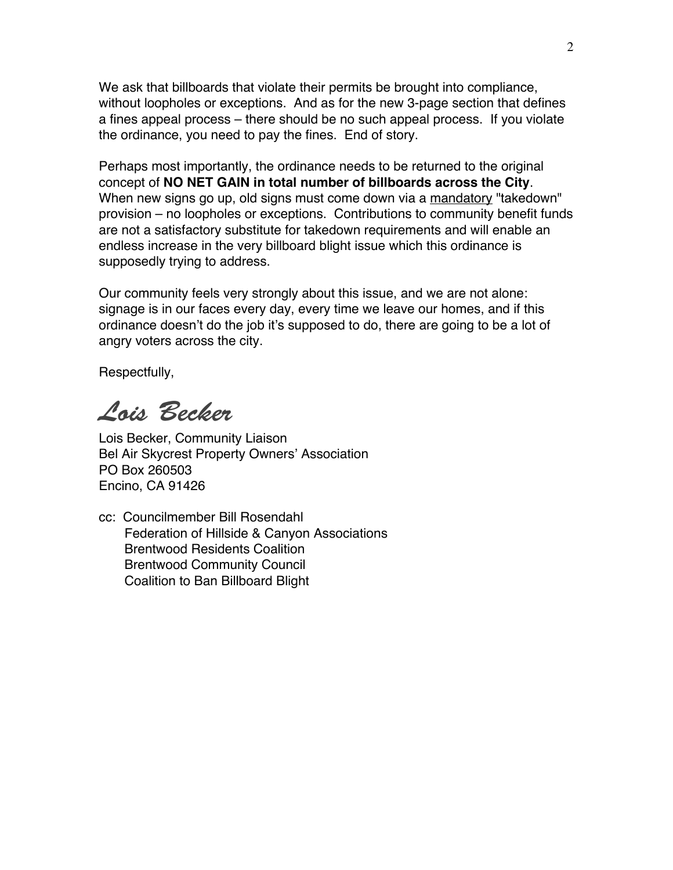We ask that billboards that violate their permits be brought into compliance, without loopholes or exceptions. And as for the new 3-page section that defines a fines appeal process – there should be no such appeal process. If you violate the ordinance, you need to pay the fines. End of story.

Perhaps most importantly, the ordinance needs to be returned to the original concept of **NO NET GAIN in total number of billboards across the City**. When new signs go up, old signs must come down via a mandatory "takedown" provision – no loopholes or exceptions. Contributions to community benefit funds are not a satisfactory substitute for takedown requirements and will enable an endless increase in the very billboard blight issue which this ordinance is supposedly trying to address.

Our community feels very strongly about this issue, and we are not alone: signage is in our faces every day, every time we leave our homes, and if this ordinance doesn't do the job it's supposed to do, there are going to be a lot of angry voters across the city.

Respectfully,

Lois Becker

Lois Becker, Community Liaison Bel Air Skycrest Property Owners' Association PO Box 260503 Encino, CA 91426

cc: Councilmember Bill Rosendahl Federation of Hillside & Canyon Associations Brentwood Residents Coalition Brentwood Community Council Coalition to Ban Billboard Blight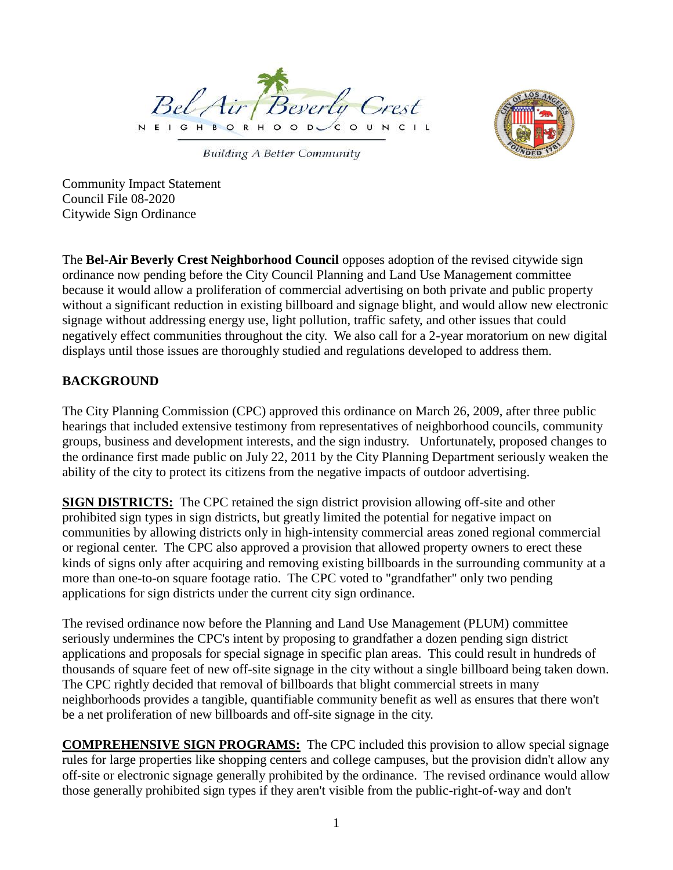



**Building A Better Community** 

Community Impact Statement Council File 08-2020 Citywide Sign Ordinance

The **Bel-Air Beverly Crest Neighborhood Council** opposes adoption of the revised citywide sign ordinance now pending before the City Council Planning and Land Use Management committee because it would allow a proliferation of commercial advertising on both private and public property without a significant reduction in existing billboard and signage blight, and would allow new electronic signage without addressing energy use, light pollution, traffic safety, and other issues that could negatively effect communities throughout the city. We also call for a 2-year moratorium on new digital displays until those issues are thoroughly studied and regulations developed to address them.

## **BACKGROUND**

The City Planning Commission (CPC) approved this ordinance on March 26, 2009, after three public hearings that included extensive testimony from representatives of neighborhood councils, community groups, business and development interests, and the sign industry. Unfortunately, proposed changes to the ordinance first made public on July 22, 2011 by the City Planning Department seriously weaken the ability of the city to protect its citizens from the negative impacts of outdoor advertising.

**SIGN DISTRICTS:** The CPC retained the sign district provision allowing off-site and other prohibited sign types in sign districts, but greatly limited the potential for negative impact on communities by allowing districts only in high-intensity commercial areas zoned regional commercial or regional center. The CPC also approved a provision that allowed property owners to erect these kinds of signs only after acquiring and removing existing billboards in the surrounding community at a more than one-to-on square footage ratio. The CPC voted to "grandfather" only two pending applications for sign districts under the current city sign ordinance.

The revised ordinance now before the Planning and Land Use Management (PLUM) committee seriously undermines the CPC's intent by proposing to grandfather a dozen pending sign district applications and proposals for special signage in specific plan areas. This could result in hundreds of thousands of square feet of new off-site signage in the city without a single billboard being taken down. The CPC rightly decided that removal of billboards that blight commercial streets in many neighborhoods provides a tangible, quantifiable community benefit as well as ensures that there won't be a net proliferation of new billboards and off-site signage in the city.

**COMPREHENSIVE SIGN PROGRAMS:** The CPC included this provision to allow special signage rules for large properties like shopping centers and college campuses, but the provision didn't allow any off-site or electronic signage generally prohibited by the ordinance. The revised ordinance would allow those generally prohibited sign types if they aren't visible from the public-right-of-way and don't